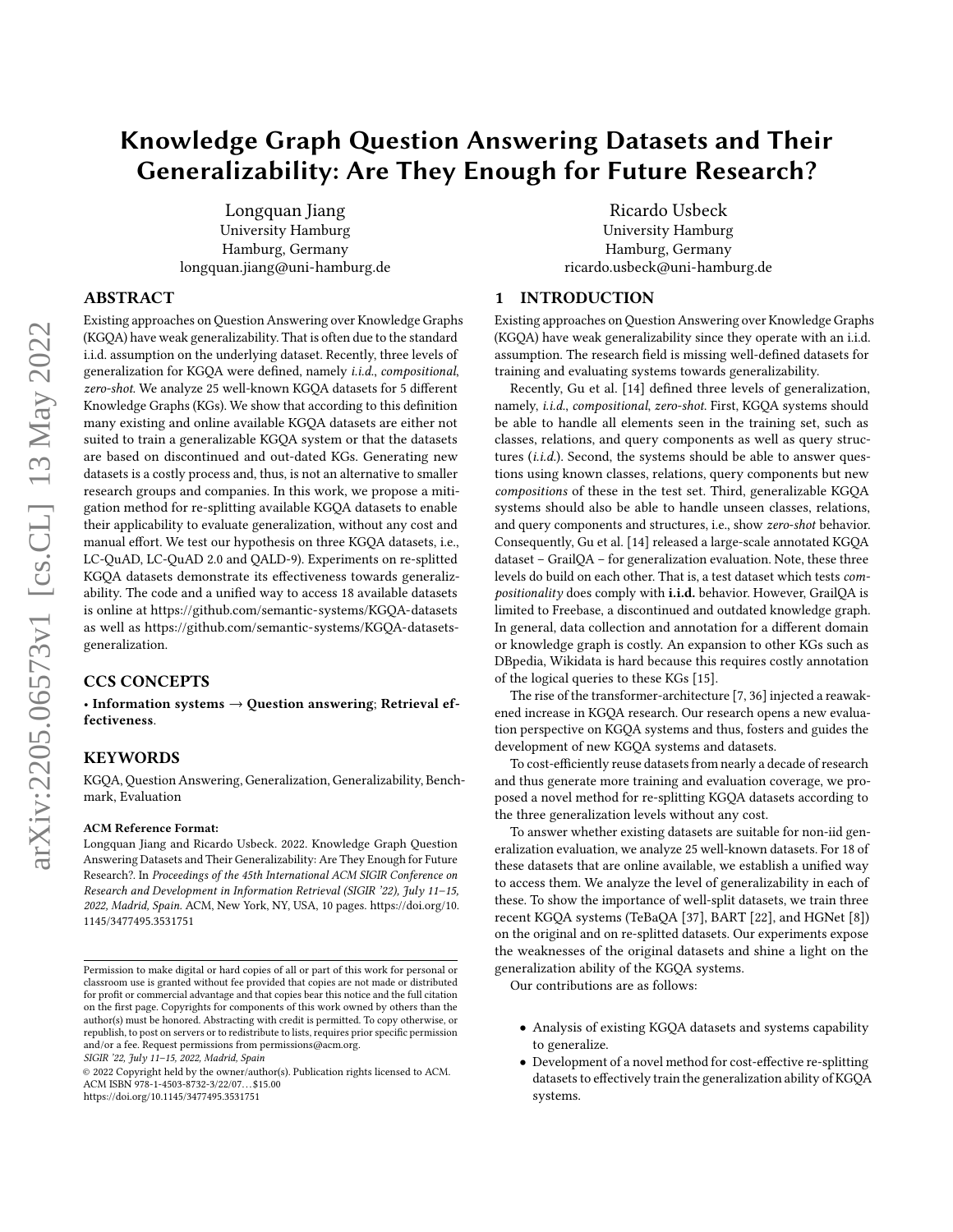# <span id="page-0-0"></span>Knowledge Graph Question Answering Datasets and Their Generalizability: Are They Enough for Future Research?

[Longquan Jiang](https://orcid.org/0000-0002-7333-2589) University Hamburg Hamburg, Germany longquan.jiang@uni-hamburg.de

# ABSTRACT

Existing approaches on Question Answering over Knowledge Graphs (KGQA) have weak generalizability. That is often due to the standard i.i.d. assumption on the underlying dataset. Recently, three levels of generalization for KGQA were defined, namely i.i.d., compositional, zero-shot. We analyze 25 well-known KGQA datasets for 5 different Knowledge Graphs (KGs). We show that according to this definition many existing and online available KGQA datasets are either not suited to train a generalizable KGQA system or that the datasets are based on discontinued and out-dated KGs. Generating new datasets is a costly process and, thus, is not an alternative to smaller research groups and companies. In this work, we propose a mitigation method for re-splitting available KGQA datasets to enable their applicability to evaluate generalization, without any cost and manual effort. We test our hypothesis on three KGQA datasets, i.e., LC-QuAD, LC-QuAD 2.0 and QALD-9). Experiments on re-splitted KGQA datasets demonstrate its effectiveness towards generalizability. The code and a unified way to access 18 available datasets is online at<https://github.com/semantic-systems/KGQA-datasets> as well as [https://github.com/semantic-systems/KGQA-datasets](https://github.com/semantic-systems/KGQA-datasets-generalization)[generalization.](https://github.com/semantic-systems/KGQA-datasets-generalization)

# CCS CONCEPTS

• Information systems  $\rightarrow$  Question answering; Retrieval effectiveness.

## KEYWORDS

KGQA, Question Answering, Generalization, Generalizability, Benchmark, Evaluation

#### ACM Reference Format:

Longquan Jiang and Ricardo Usbeck. 2022. Knowledge Graph Question Answering Datasets and Their Generalizability: Are They Enough for Future Research?. In Proceedings of the 45th International ACM SIGIR Conference on Research and Development in Information Retrieval (SIGIR '22), July 11–15, 2022, Madrid, Spain. ACM, New York, NY, USA, [10](#page-9-0) pages. [https://doi.org/10.](https://doi.org/10.1145/3477495.3531751) [1145/3477495.3531751](https://doi.org/10.1145/3477495.3531751)

SIGIR '22, July 11–15, 2022, Madrid, Spain

© 2022 Copyright held by the owner/author(s). Publication rights licensed to ACM. ACM ISBN 978-1-4503-8732-3/22/07. . . \$15.00 <https://doi.org/10.1145/3477495.3531751>

[Ricardo Usbeck](https://orcid.org/0000-0002-0191-7211) University Hamburg Hamburg, Germany ricardo.usbeck@uni-hamburg.de

# 1 INTRODUCTION

Existing approaches on Question Answering over Knowledge Graphs (KGQA) have weak generalizability since they operate with an i.i.d. assumption. The research field is missing well-defined datasets for training and evaluating systems towards generalizability.

Recently, Gu et al. [\[14\]](#page-7-0) defined three levels of generalization, namely, i.i.d., compositional, zero-shot. First, KGQA systems should be able to handle all elements seen in the training set, such as classes, relations, and query components as well as query structures  $(i.i.d.)$ . Second, the systems should be able to answer questions using known classes, relations, query components but new compositions of these in the test set. Third, generalizable KGQA systems should also be able to handle unseen classes, relations, and query components and structures, i.e., show zero-shot behavior. Consequently, Gu et al. [\[14\]](#page-7-0) released a large-scale annotated KGQA dataset – GrailQA – for generalization evaluation. Note, these three levels do build on each other. That is, a test dataset which tests compositionality does comply with i.i.d. behavior. However, GrailQA is limited to Freebase, a discontinued and outdated knowledge graph. In general, data collection and annotation for a different domain or knowledge graph is costly. An expansion to other KGs such as DBpedia, Wikidata is hard because this requires costly annotation of the logical queries to these KGs [\[15\]](#page-7-1).

The rise of the transformer-architecture [\[7,](#page-7-2) [36\]](#page-8-0) injected a reawakened increase in KGQA research. Our research opens a new evaluation perspective on KGQA systems and thus, fosters and guides the development of new KGQA systems and datasets.

To cost-efficiently reuse datasets from nearly a decade of research and thus generate more training and evaluation coverage, we proposed a novel method for re-splitting KGQA datasets according to the three generalization levels without any cost.

To answer whether existing datasets are suitable for non-iid generalization evaluation, we analyze 25 well-known datasets. For 18 of these datasets that are online available, we establish a unified way to access them. We analyze the level of generalizability in each of these. To show the importance of well-split datasets, we train three recent KGQA systems (TeBaQA [\[37\]](#page-8-1), BART [\[22\]](#page-7-3), and HGNet [\[8\]](#page-7-4)) on the original and on re-splitted datasets. Our experiments expose the weaknesses of the original datasets and shine a light on the generalization ability of the KGQA systems.

Our contributions are as follows:

- Analysis of existing KGQA datasets and systems capability to generalize.
- Development of a novel method for cost-effective re-splitting datasets to effectively train the generalization ability of KGQA systems.

Permission to make digital or hard copies of all or part of this work for personal or classroom use is granted without fee provided that copies are not made or distributed for profit or commercial advantage and that copies bear this notice and the full citation on the first page. Copyrights for components of this work owned by others than the author(s) must be honored. Abstracting with credit is permitted. To copy otherwise, or republish, to post on servers or to redistribute to lists, requires prior specific permission and/or a fee. Request permissions from permissions@acm.org.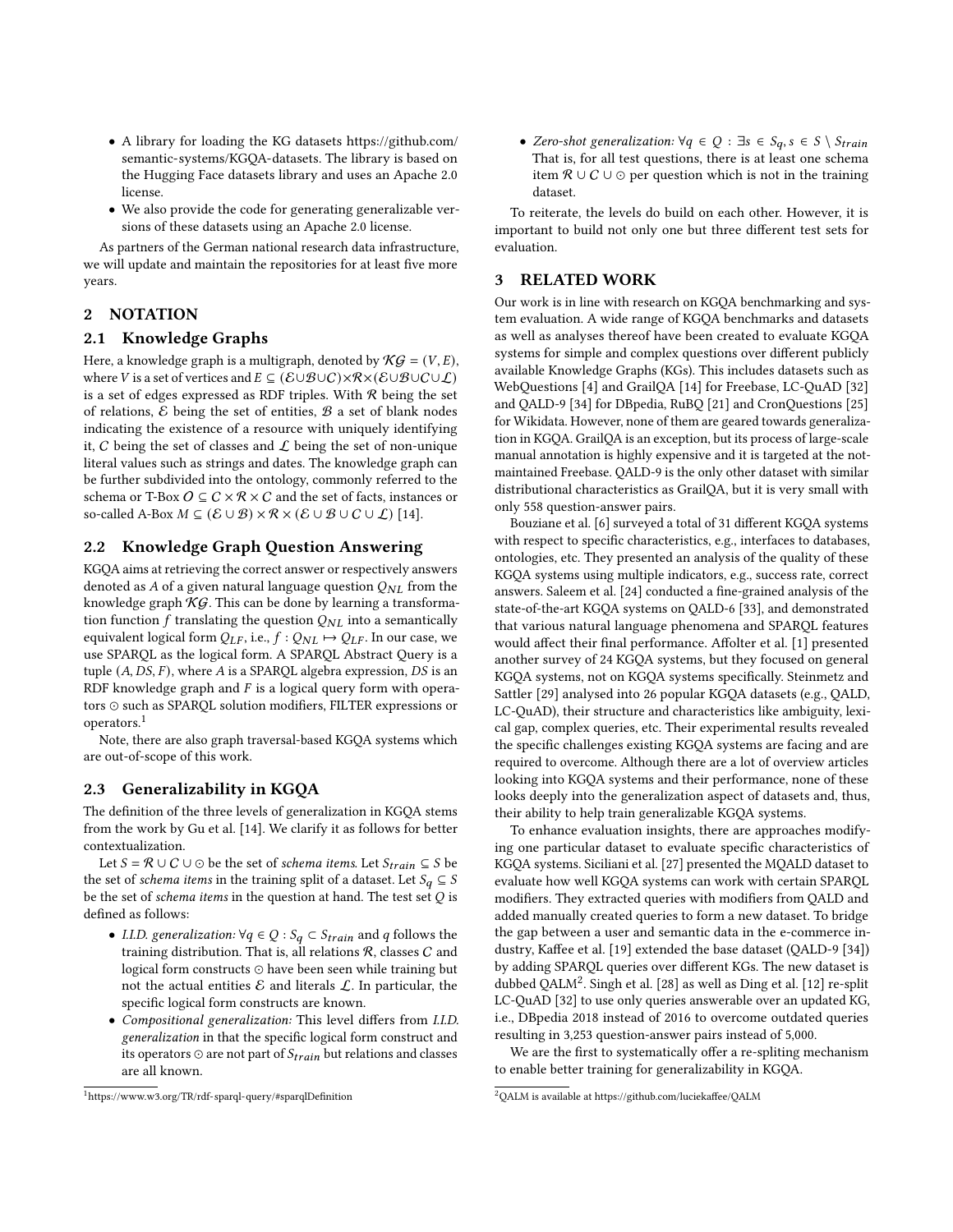- A library for loading the KG datasets [https://github.com/](https://github.com/semantic-systems/KGQA-datasets) [semantic-systems/KGQA-datasets.](https://github.com/semantic-systems/KGQA-datasets) The library is based on the Hugging Face datasets library and uses an Apache 2.0 license.
- We also provide the code for generating generalizable versions of these datasets using an Apache 2.0 license.

As partners of the German national research data infrastructure, we will update and maintain the repositories for at least five more years.

## 2 NOTATION

#### 2.1 Knowledge Graphs

Here, a knowledge graph is a multigraph, denoted by  $\mathcal{KG} = (V, E)$ , where V is a set of vertices and  $E \subseteq (\mathcal{E} \cup \mathcal{B} \cup C) \times \mathcal{R} \times (\mathcal{E} \cup \mathcal{B} \cup C \cup \mathcal{L})$ is a set of edges expressed as RDF triples. With  $R$  being the set of relations,  $\mathcal E$  being the set of entities,  $\mathcal B$  a set of blank nodes indicating the existence of a resource with uniquely identifying it,  $C$  being the set of classes and  $\mathcal L$  being the set of non-unique literal values such as strings and dates. The knowledge graph can be further subdivided into the ontology, commonly referred to the schema or T-Box  $O \subseteq C \times \mathcal{R} \times C$  and the set of facts, instances or so-called A-Box  $M \subseteq (\mathcal{E} \cup \mathcal{B}) \times \mathcal{R} \times (\mathcal{E} \cup \mathcal{B} \cup C \cup \mathcal{L})$  [\[14\]](#page-7-0).

# 2.2 Knowledge Graph Question Answering

KGQA aims at retrieving the correct answer or respectively answers denoted as A of a given natural language question  $Q_{NL}$  from the knowledge graph  $KG$ . This can be done by learning a transformation function  $f$  translating the question  $Q_{NL}$  into a semantically equivalent logical form  $Q_{LF}$ , i.e.,  $f : Q_{NL} \mapsto Q_{LF}$ . In our case, we use SPARQL as the logical form. A SPARQL Abstract Query is a tuple  $(A, DS, F)$ , where A is a SPARQL algebra expression,  $DS$  is an RDF knowledge graph and  $F$  is a logical query form with operators ⊙ such as SPARQL solution modifiers, FILTER expressions or operators.[1](#page-1-0)

Note, there are also graph traversal-based KGQA systems which are out-of-scope of this work.

## 2.3 Generalizability in KGQA

The definition of the three levels of generalization in KGQA stems from the work by Gu et al. [\[14\]](#page-7-0). We clarify it as follows for better contextualization.

Let  $S = \mathcal{R} \cup C \cup \odot$  be the set of *schema items*. Let  $S_{train} \subseteq S$  be the set of schema items in the training split of a dataset. Let  $S_q \subseteq S$ be the set of schema items in the question at hand. The test set  $Q$  is defined as follows:

- I.I.D. generalization:  $\forall q \in Q : S_q \subset S_{train}$  and q follows the training distribution. That is, all relations  $R$ , classes  $C$  and logical form constructs ⊙ have been seen while training but not the actual entities  $\mathcal E$  and literals  $\mathcal L$ . In particular, the specific logical form constructs are known.
- Compositional generalization: This level differs from I.I.D. generalization in that the specific logical form construct and its operators  $\odot$  are not part of  $S_{train}$  but relations and classes are all known.

• Zero-shot generalization:  $\forall q \in Q : \exists s \in S_q, s \in S \setminus S_{train}$ That is, for all test questions, there is at least one schema item  $\mathcal{R} \cup \mathcal{C} \cup \odot$  per question which is not in the training dataset.

To reiterate, the levels do build on each other. However, it is important to build not only one but three different test sets for evaluation.

#### 3 RELATED WORK

Our work is in line with research on KGQA benchmarking and system evaluation. A wide range of KGQA benchmarks and datasets as well as analyses thereof have been created to evaluate KGQA systems for simple and complex questions over different publicly available Knowledge Graphs (KGs). This includes datasets such as WebQuestions [\[4\]](#page-6-0) and GrailQA [\[14\]](#page-7-0) for Freebase, LC-QuAD [\[32\]](#page-7-5) and QALD-9 [\[34\]](#page-8-2) for DBpedia, RuBQ [\[21\]](#page-7-6) and CronQuestions [\[25\]](#page-7-7) for Wikidata. However, none of them are geared towards generalization in KGQA. GrailQA is an exception, but its process of large-scale manual annotation is highly expensive and it is targeted at the notmaintained Freebase. QALD-9 is the only other dataset with similar distributional characteristics as GrailQA, but it is very small with only 558 question-answer pairs.

Bouziane et al. [\[6\]](#page-6-1) surveyed a total of 31 different KGQA systems with respect to specific characteristics, e.g., interfaces to databases, ontologies, etc. They presented an analysis of the quality of these KGQA systems using multiple indicators, e.g., success rate, correct answers. Saleem et al. [\[24\]](#page-7-8) conducted a fine-grained analysis of the state-of-the-art KGQA systems on QALD-6 [\[33\]](#page-8-3), and demonstrated that various natural language phenomena and SPARQL features would affect their final performance. Affolter et al. [\[1\]](#page-6-2) presented another survey of 24 KGQA systems, but they focused on general KGQA systems, not on KGQA systems specifically. Steinmetz and Sattler [\[29\]](#page-7-9) analysed into 26 popular KGQA datasets (e.g., QALD, LC-QuAD), their structure and characteristics like ambiguity, lexical gap, complex queries, etc. Their experimental results revealed the specific challenges existing KGQA systems are facing and are required to overcome. Although there are a lot of overview articles looking into KGQA systems and their performance, none of these looks deeply into the generalization aspect of datasets and, thus, their ability to help train generalizable KGQA systems.

To enhance evaluation insights, there are approaches modifying one particular dataset to evaluate specific characteristics of KGQA systems. Siciliani et al. [\[27\]](#page-7-10) presented the MQALD dataset to evaluate how well KGQA systems can work with certain SPARQL modifiers. They extracted queries with modifiers from QALD and added manually created queries to form a new dataset. To bridge the gap between a user and semantic data in the e-commerce industry, Kaffee et al. [\[19\]](#page-7-11) extended the base dataset (QALD-9 [\[34\]](#page-8-2)) by adding SPARQL queries over different KGs. The new dataset is dubbed QALM<sup>[2](#page-1-1)</sup>. Singh et al. [\[28\]](#page-7-12) as well as Ding et al. [\[12\]](#page-7-13) re-split LC-QuAD [\[32\]](#page-7-5) to use only queries answerable over an updated KG, i.e., DBpedia 2018 instead of 2016 to overcome outdated queries resulting in 3,253 question-answer pairs instead of 5,000.

We are the first to systematically offer a re-spliting mechanism to enable better training for generalizability in KGQA.

<span id="page-1-0"></span><sup>1</sup><https://www.w3.org/TR/rdf-sparql-query/#sparqlDefinition>

<span id="page-1-1"></span><sup>2</sup>QALM is available at<https://github.com/luciekaffee/QALM>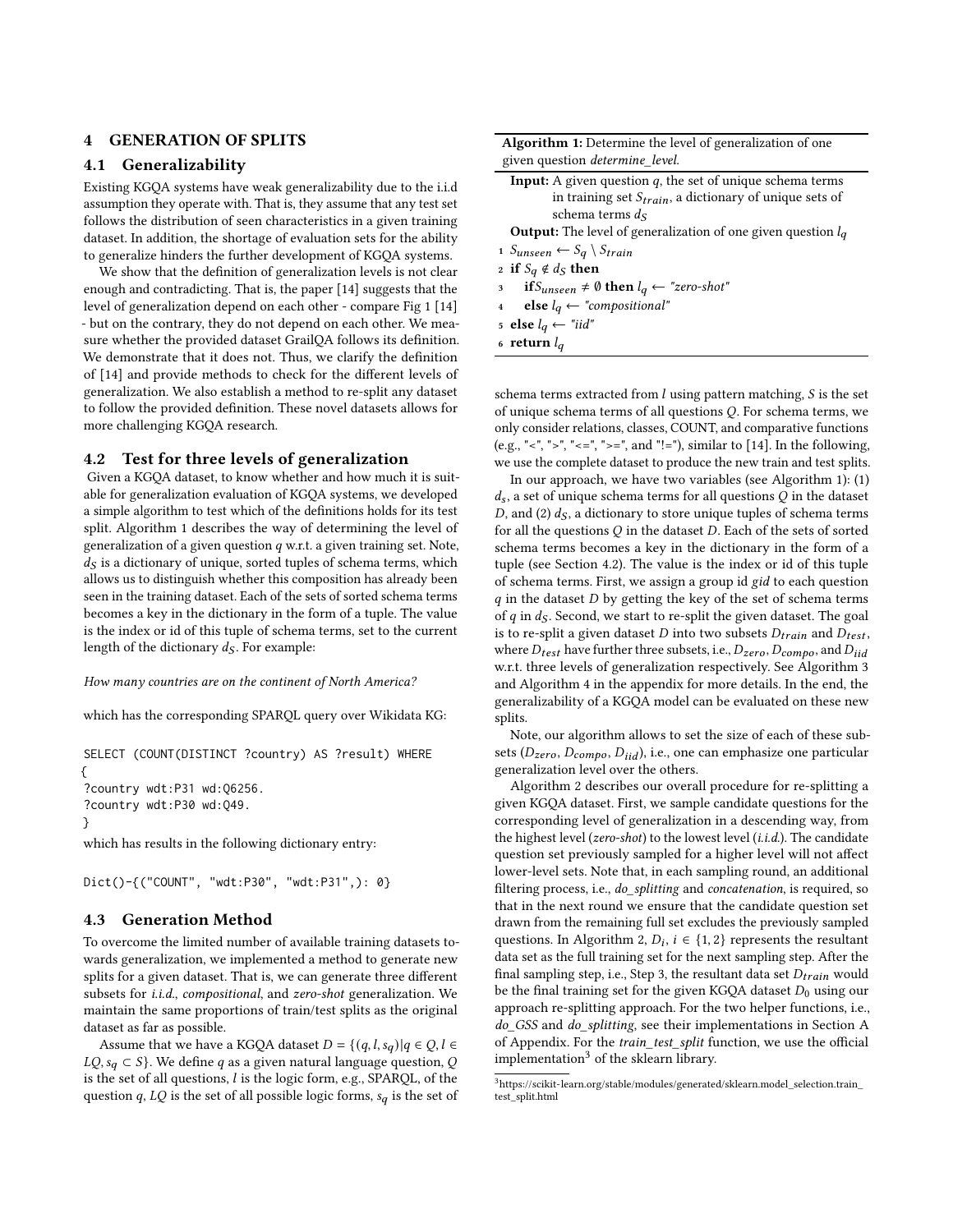# 4 GENERATION OF SPLITS

#### 4.1 Generalizability

Existing KGQA systems have weak generalizability due to the i.i.d assumption they operate with. That is, they assume that any test set follows the distribution of seen characteristics in a given training dataset. In addition, the shortage of evaluation sets for the ability to generalize hinders the further development of KGQA systems.

We show that the definition of generalization levels is not clear enough and contradicting. That is, the paper [\[14\]](#page-7-0) suggests that the level of generalization depend on each other - compare Fig 1 [\[14\]](#page-7-0) - but on the contrary, they do not depend on each other. We measure whether the provided dataset GrailQA follows its definition. We demonstrate that it does not. Thus, we clarify the definition of [\[14\]](#page-7-0) and provide methods to check for the different levels of generalization. We also establish a method to re-split any dataset to follow the provided definition. These novel datasets allows for more challenging KGQA research.

#### <span id="page-2-1"></span>4.2 Test for three levels of generalization

Given a KGQA dataset, to know whether and how much it is suitable for generalization evaluation of KGQA systems, we developed a simple algorithm to test which of the definitions holds for its test split. Algorithm [1](#page-2-0) describes the way of determining the level of generalization of a given question  $q$  w.r.t. a given training set. Note,  $d<sub>S</sub>$  is a dictionary of unique, sorted tuples of schema terms, which allows us to distinguish whether this composition has already been seen in the training dataset. Each of the sets of sorted schema terms becomes a key in the dictionary in the form of a tuple. The value is the index or id of this tuple of schema terms, set to the current length of the dictionary  $d_S$ . For example:

How many countries are on the continent of North America?

which has the corresponding SPARQL query over Wikidata KG:

SELECT (COUNT(DISTINCT ?country) AS ?result) WHERE { ?country wdt:P31 wd:Q6256. ?country wdt:P30 wd:Q49. }

which has results in the following dictionary entry:

Dict()-{("COUNT", "wdt:P30", "wdt:P31",): 0}

#### 4.3 Generation Method

To overcome the limited number of available training datasets towards generalization, we implemented a method to generate new splits for a given dataset. That is, we can generate three different subsets for i.i.d., compositional, and zero-shot generalization. We maintain the same proportions of train/test splits as the original dataset as far as possible.

Assume that we have a KGQA dataset  $D = \{(q, l, s_q) | q \in Q, l \in$  $LQ, s_q \subset S$ . We define q as a given natural language question, Q is the set of all questions,  $l$  is the logic form, e.g., SPARQL, of the question q,  $LQ$  is the set of all possible logic forms,  $s_q$  is the set of

| <b>Algorithm 1:</b> Determine the level of generalization of one |  |  |
|------------------------------------------------------------------|--|--|
| given question <i>determine_level</i> .                          |  |  |

| <b>Input:</b> A given question $q$ , the set of unique schema terms                      |
|------------------------------------------------------------------------------------------|
| in training set $S_{train}$ , a dictionary of unique sets of                             |
| schema terms $ds$                                                                        |
| <b>Output:</b> The level of generalization of one given question $l_a$                   |
| 1 Sunseen $\leftarrow S_q \setminus S_{train}$                                           |
| 2 if $S_q \notin d_S$ then                                                               |
| $\text{if } S_{unseen} \neq \emptyset \text{ then } l_q \leftarrow \text{ "zero-shot" }$ |
| 4 <b>else</b> $l_q \leftarrow$ "compositional"                                           |
| 5 else $l_q \leftarrow "iid"$                                                            |

<span id="page-2-0"></span>6 return  $l_q$ 

schema terms extracted from  $l$  using pattern matching,  $S$  is the set of unique schema terms of all questions  $Q$ . For schema terms, we only consider relations, classes, COUNT, and comparative functions (e.g., "<", ">", "<=", ">=", and "!="), similar to [\[14\]](#page-7-0). In the following, we use the complete dataset to produce the new train and test splits.

In our approach, we have two variables (see Algorithm [1\)](#page-2-0): (1)  $d_s$ , a set of unique schema terms for all questions  $Q$  in the dataset D, and (2)  $d<sub>S</sub>$ , a dictionary to store unique tuples of schema terms for all the questions  $Q$  in the dataset  $D$ . Each of the sets of sorted schema terms becomes a key in the dictionary in the form of a tuple (see Section [4.2\)](#page-2-1). The value is the index or id of this tuple of schema terms. First, we assign a group id gid to each question  $q$  in the dataset  $D$  by getting the key of the set of schema terms of  $q$  in  $d_S$ . Second, we start to re-split the given dataset. The goal is to re-split a given dataset  $D$  into two subsets  $D_{train}$  and  $D_{test}$ , where  $D_{test}$  have further three subsets, i.e.,  $D_{zero}$ ,  $D_{compo}$ , and  $D_{iid}$ w.r.t. three levels of generalization respectively. See Algorithm [3](#page-8-4) and Algorithm [4](#page-8-5) in the appendix for more details. In the end, the generalizability of a KGQA model can be evaluated on these new splits.

Note, our algorithm allows to set the size of each of these subsets ( $D_{zero}$ ,  $D_{compo}$ ,  $D_{iid}$ ), i.e., one can emphasize one particular generalization level over the others.

Algorithm [2](#page-3-0) describes our overall procedure for re-splitting a given KGQA dataset. First, we sample candidate questions for the corresponding level of generalization in a descending way, from the highest level (zero-shot) to the lowest level (i.i.d.). The candidate question set previously sampled for a higher level will not affect lower-level sets. Note that, in each sampling round, an additional filtering process, i.e., do\_splitting and concatenation, is required, so that in the next round we ensure that the candidate question set drawn from the remaining full set excludes the previously sampled questions. In Algorithm [2,](#page-3-0)  $D_i$ ,  $i \in \{1, 2\}$  represents the resultant data set as the full training set for the next sampling step. After the final sampling step, i.e., Step 3, the resultant data set  $D_{train}$  would be the final training set for the given KGQA dataset  $D_0$  using our approach re-splitting approach. For the two helper functions, i.e., do\_GSS and do\_splitting, see their implementations in Section [A](#page-8-6) of Appendix. For the train\_test\_split function, we use the official implementation<sup>[3](#page-2-2)</sup> of the sklearn library.

<span id="page-2-2"></span> $^3$ [https://scikit-learn.org/stable/modules/generated/sklearn.model\\_selection.train\\_](https://scikit-learn.org/stable/modules/generated/sklearn.model_selection.train_test_split.html) [test\\_split.html](https://scikit-learn.org/stable/modules/generated/sklearn.model_selection.train_test_split.html)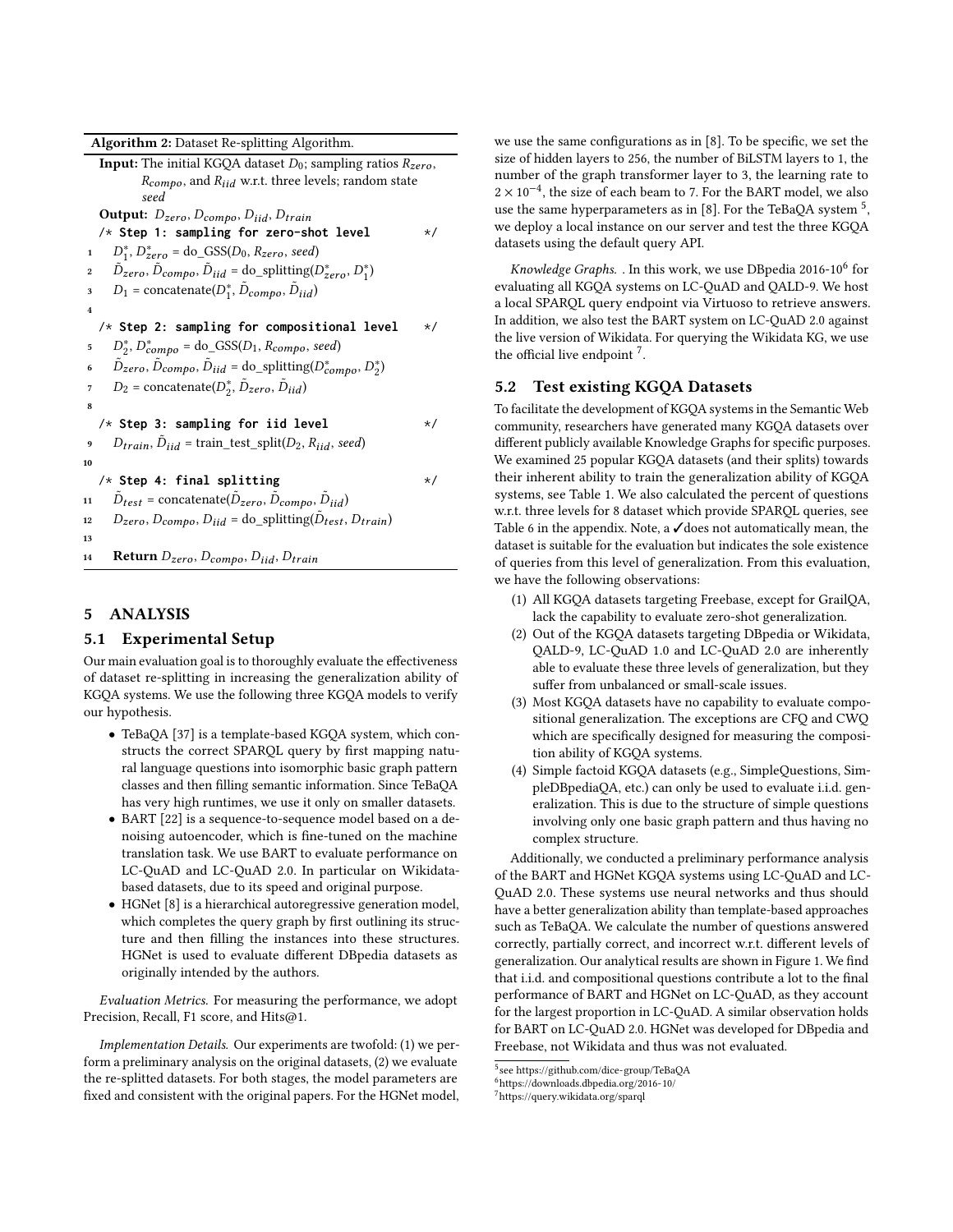Algorithm 2: Dataset Re-splitting Algorithm.

|                         | <b>Input:</b> The initial KGQA dataset $D_0$ ; sampling ratios $R_{zero}$ ,                      |          |
|-------------------------|--------------------------------------------------------------------------------------------------|----------|
|                         | $R_{\textit{compo}}$ , and $R_{iid}$ w.r.t. three levels; random state                           |          |
|                         | seed                                                                                             |          |
|                         | <b>Output:</b> $D_{zero}$ , $D_{compo}$ , $D_{iid}$ , $D_{train}$                                |          |
|                         | /* Step 1: sampling for zero-shot level                                                          | */       |
| 1                       | $D_1^*$ , $D_{zero}^*$ = do_GSS( $D_0$ , $R_{zero}$ , seed)                                      |          |
| 2                       | $D_{zero}, D_{compo}, D_{iid} =$ do_splitting( $D_{zero}^*, D_1^*$ )                             |          |
| 3                       | $D_1$ = concatenate( $D_1^*$ , $D_{compo}$ , $D_{iid}$ )                                         |          |
| $\overline{\mathbf{4}}$ |                                                                                                  |          |
|                         | $/*$ Step 2: sampling for compositional level                                                    | $\star/$ |
| 5                       | $D_2^*$ , $D_{compo}^*$ = do_GSS( $D_1$ , $R_{compo}$ , seed)                                    |          |
| 6                       | $\tilde{D}_{zero}, \tilde{D}_{compo}, \tilde{D}_{iid} =$ do_splitting( $D_{compo}^*, D_2^*$ )    |          |
| 7                       | $D_2$ = concatenate( $D_2^*$ , $\tilde{D}_{zero}$ , $\tilde{D}_{iid}$ )                          |          |
| 8                       |                                                                                                  |          |
|                         | $/*$ Step 3: sampling for iid level                                                              | $\star/$ |
| 9                       | $D_{train}, \tilde{D}_{iid}$ = train_test_split( $D_2, R_{iid}$ , seed)                          |          |
| 10                      |                                                                                                  |          |
|                         | $/*$ Step 4: final splitting                                                                     | $\star/$ |
| 11                      | $\tilde{D}_{test}$ = concatenate( $\tilde{D}_{zero}$ , $\tilde{D}_{compo}$ , $\tilde{D}_{iid}$ ) |          |
| 12                      | $D_{zero}, D_{compo}, D_{iid} = \text{do\_splitting}(\tilde{D}_{test}, D_{train})$               |          |
| 13                      |                                                                                                  |          |
| 14                      | Return $D_{zero}$ , $D_{compo}$ , $D_{iid}$ , $D_{train}$                                        |          |

# <span id="page-3-0"></span>5 ANALYSIS

#### 5.1 Experimental Setup

Our main evaluation goal is to thoroughly evaluate the effectiveness of dataset re-splitting in increasing the generalization ability of KGQA systems. We use the following three KGQA models to verify our hypothesis.

- TeBaQA [\[37\]](#page-8-1) is a template-based KGQA system, which constructs the correct SPARQL query by first mapping natural language questions into isomorphic basic graph pattern classes and then filling semantic information. Since TeBaQA has very high runtimes, we use it only on smaller datasets.
- BART [\[22\]](#page-7-3) is a sequence-to-sequence model based on a denoising autoencoder, which is fine-tuned on the machine translation task. We use BART to evaluate performance on LC-QuAD and LC-QuAD 2.0. In particular on Wikidatabased datasets, due to its speed and original purpose.
- HGNet [\[8\]](#page-7-4) is a hierarchical autoregressive generation model, which completes the query graph by first outlining its structure and then filling the instances into these structures. HGNet is used to evaluate different DBpedia datasets as originally intended by the authors.

Evaluation Metrics. For measuring the performance, we adopt Precision, Recall, F1 score, and Hits@1.

Implementation Details. Our experiments are twofold: (1) we perform a preliminary analysis on the original datasets, (2) we evaluate the re-splitted datasets. For both stages, the model parameters are fixed and consistent with the original papers. For the HGNet model, we use the same configurations as in [\[8\]](#page-7-4). To be specific, we set the size of hidden layers to 256, the number of BiLSTM layers to 1, the number of the graph transformer layer to 3, the learning rate to 2 × 10<sup>-4</sup>, the size of each beam to 7. For the BART model, we also use the same hyperparameters as in [\[8\]](#page-7-4). For the TeBaQA system  $^5$  $^5$ , we deploy a local instance on our server and test the three KGQA datasets using the default query API.

Knowledge Graphs. . In this work, we use DBpedia 201[6](#page-3-2)-10<sup>6</sup> for evaluating all KGQA systems on LC-QuAD and QALD-9. We host a local SPARQL query endpoint via Virtuoso to retrieve answers. In addition, we also test the BART system on LC-QuAD 2.0 against the live version of Wikidata. For querying the Wikidata KG, we use the official live endpoint<sup>[7](#page-3-3)</sup>.

## 5.2 Test existing KGQA Datasets

To facilitate the development of KGQA systems in the Semantic Web community, researchers have generated many KGQA datasets over different publicly available Knowledge Graphs for specific purposes. We examined 25 popular KGQA datasets (and their splits) towards their inherent ability to train the generalization ability of KGQA systems, see Table [1.](#page-4-0) We also calculated the percent of questions w.r.t. three levels for 8 dataset which provide SPARQL queries, see Table [6](#page-9-1) in the appendix. Note, a  $\checkmark$  does not automatically mean, the dataset is suitable for the evaluation but indicates the sole existence of queries from this level of generalization. From this evaluation, we have the following observations:

- (1) All KGQA datasets targeting Freebase, except for GrailQA, lack the capability to evaluate zero-shot generalization.
- (2) Out of the KGQA datasets targeting DBpedia or Wikidata, QALD-9, LC-QuAD 1.0 and LC-QuAD 2.0 are inherently able to evaluate these three levels of generalization, but they suffer from unbalanced or small-scale issues.
- (3) Most KGQA datasets have no capability to evaluate compositional generalization. The exceptions are CFQ and CWQ which are specifically designed for measuring the composition ability of KGQA systems.
- (4) Simple factoid KGQA datasets (e.g., SimpleQuestions, SimpleDBpediaQA, etc.) can only be used to evaluate i.i.d. generalization. This is due to the structure of simple questions involving only one basic graph pattern and thus having no complex structure.

Additionally, we conducted a preliminary performance analysis of the BART and HGNet KGQA systems using LC-QuAD and LC-QuAD 2.0. These systems use neural networks and thus should have a better generalization ability than template-based approaches such as TeBaQA. We calculate the number of questions answered correctly, partially correct, and incorrect w.r.t. different levels of generalization. Our analytical results are shown in Figure [1.](#page-4-1) We find that i.i.d. and compositional questions contribute a lot to the final performance of BART and HGNet on LC-QuAD, as they account for the largest proportion in LC-QuAD. A similar observation holds for BART on LC-QuAD 2.0. HGNet was developed for DBpedia and Freebase, not Wikidata and thus was not evaluated.

<span id="page-3-1"></span><sup>5</sup> see<https://github.com/dice-group/TeBaQA>

<span id="page-3-2"></span><sup>6</sup><https://downloads.dbpedia.org/2016-10/>

<span id="page-3-3"></span><sup>7</sup><https://query.wikidata.org/sparql>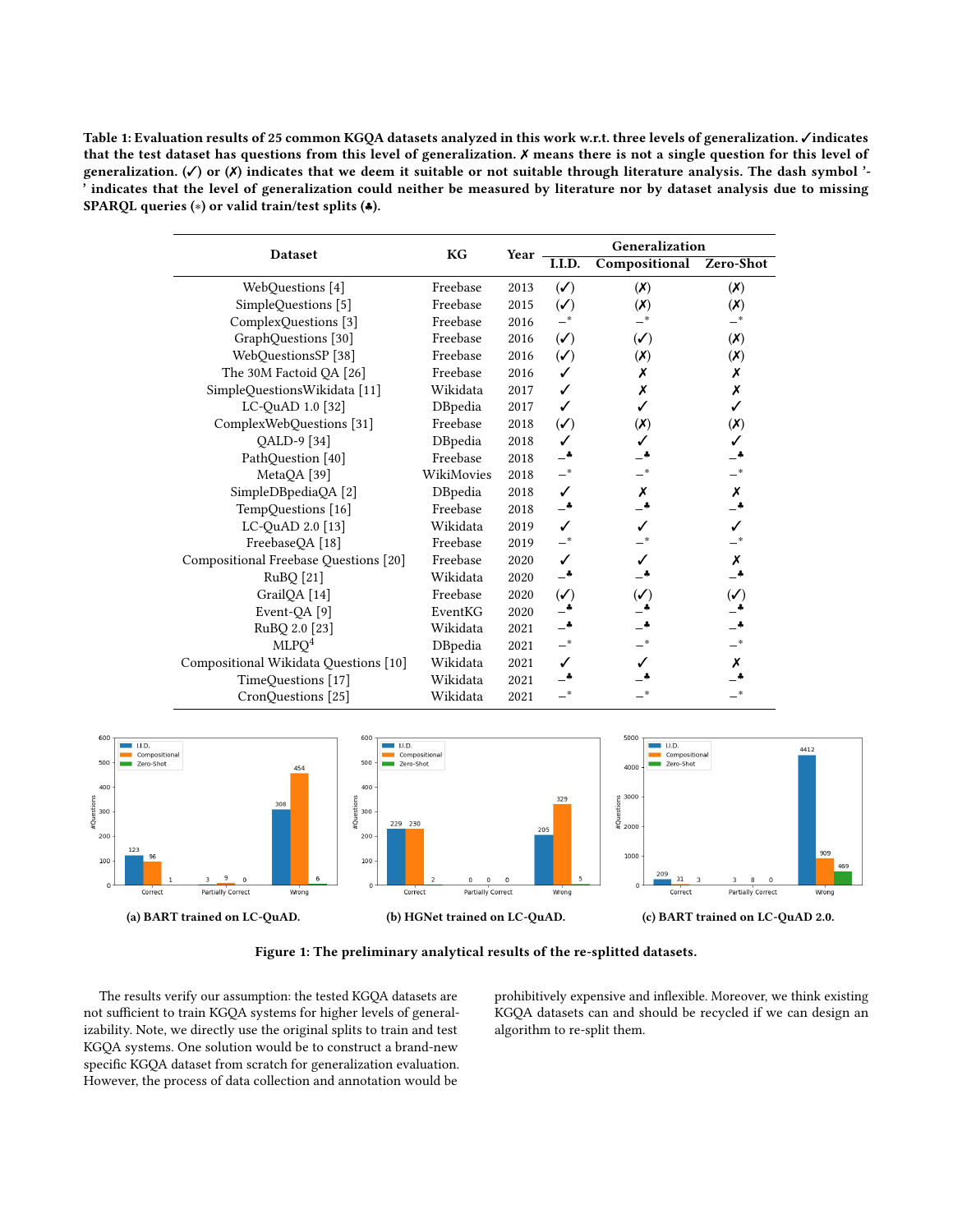<span id="page-4-0"></span>Table 1: Evaluation results of 25 common KGQA datasets analyzed in this work w.r.t. three levels of generalization. ✓indicates that the test dataset has questions from this level of generalization. ✗ means there is not a single question for this level of generalization.  $(\checkmark)$  or  $(\checkmark)$  indicates that we deem it suitable or not suitable through literature analysis. The dash symbol '-' indicates that the level of generalization could neither be measured by literature nor by dataset analysis due to missing SPARQL queries (∗) or valid train/test splits (♣).

|                                       |                |      | Generalization                         |                             |                             |  |  |  |
|---------------------------------------|----------------|------|----------------------------------------|-----------------------------|-----------------------------|--|--|--|
| Dataset                               | KG             | Year | I.I.D.                                 | Compositional               | Zero-Shot                   |  |  |  |
| WebQuestions [4]                      | Freebase       | 2013 | $\left(\boldsymbol{\checkmark}\right)$ | (X)                         | (X)                         |  |  |  |
| SimpleQuestions [5]                   | Freebase       | 2015 | $(\checkmark)$                         | $(\boldsymbol{\mathsf{X}})$ | $(\mathsf{X})$              |  |  |  |
| ComplexQuestions [3]                  | Freebase       | 2016 |                                        |                             | _*                          |  |  |  |
| GraphQuestions [30]                   | Freebase       | 2016 | $(\checkmark)$                         | $(\checkmark)$              | (X)                         |  |  |  |
| WebQuestionsSP [38]                   | Freebase       | 2016 | $(\checkmark)$                         | (X)                         | $(\boldsymbol{\mathsf{X}})$ |  |  |  |
| The 30M Factoid QA [26]               | Freebase       | 2016 | ✓                                      | Х                           | Х                           |  |  |  |
| SimpleQuestionsWikidata [11]          | Wikidata       | 2017 | ✓                                      | Х                           | Х                           |  |  |  |
| LC-QuAD 1.0 [32]                      | DBpedia        | 2017 |                                        |                             |                             |  |  |  |
| ComplexWebQuestions [31]              | Freebase       | 2018 | $(\checkmark)$                         | $(\boldsymbol{X})$          | $(\boldsymbol{\mathsf{X}})$ |  |  |  |
| QALD-9 [34]                           | <b>DBpedia</b> | 2018 | ✓                                      |                             |                             |  |  |  |
| PathQuestion [40]                     | Freebase       | 2018 |                                        |                             |                             |  |  |  |
| MetaQA [39]                           | WikiMovies     | 2018 |                                        |                             |                             |  |  |  |
| SimpleDBpediaQA [2]                   | DBpedia        | 2018 | ✓                                      | Х                           | Х                           |  |  |  |
| TempQuestions [16]                    | Freebase       | 2018 |                                        |                             |                             |  |  |  |
| LC-QuAD 2.0 [13]                      | Wikidata       | 2019 | ✓                                      |                             |                             |  |  |  |
| FreebaseQA [18]                       | Freebase       | 2019 |                                        |                             |                             |  |  |  |
| Compositional Freebase Questions [20] | Freebase       | 2020 | ✓                                      |                             | Х                           |  |  |  |
| RuBQ[21]                              | Wikidata       | 2020 |                                        |                             |                             |  |  |  |
| GrailQA [14]                          | Freebase       | 2020 | $(\checkmark)$                         | $(\mathcal{N})$             | $(\checkmark)$              |  |  |  |
| Event-QA [9]                          | EventKG        | 2020 |                                        |                             |                             |  |  |  |
| RuBQ 2.0 [23]                         | Wikidata       | 2021 |                                        |                             |                             |  |  |  |
| MLPQ <sup>4</sup>                     | DBpedia        | 2021 |                                        |                             | $-$ *                       |  |  |  |
| Compositional Wikidata Questions [10] | Wikidata       | 2021 | ✓                                      |                             | Х                           |  |  |  |
| TimeQuestions [17]                    | Wikidata       | 2021 |                                        |                             |                             |  |  |  |
| CronQuestions [25]                    | Wikidata       | 2021 |                                        |                             | _*                          |  |  |  |

<span id="page-4-1"></span>

Figure 1: The preliminary analytical results of the re-splitted datasets.

The results verify our assumption: the tested KGQA datasets are not sufficient to train KGQA systems for higher levels of generalizability. Note, we directly use the original splits to train and test KGQA systems. One solution would be to construct a brand-new specific KGQA dataset from scratch for generalization evaluation. However, the process of data collection and annotation would be

prohibitively expensive and inflexible. Moreover, we think existing KGQA datasets can and should be recycled if we can design an algorithm to re-split them.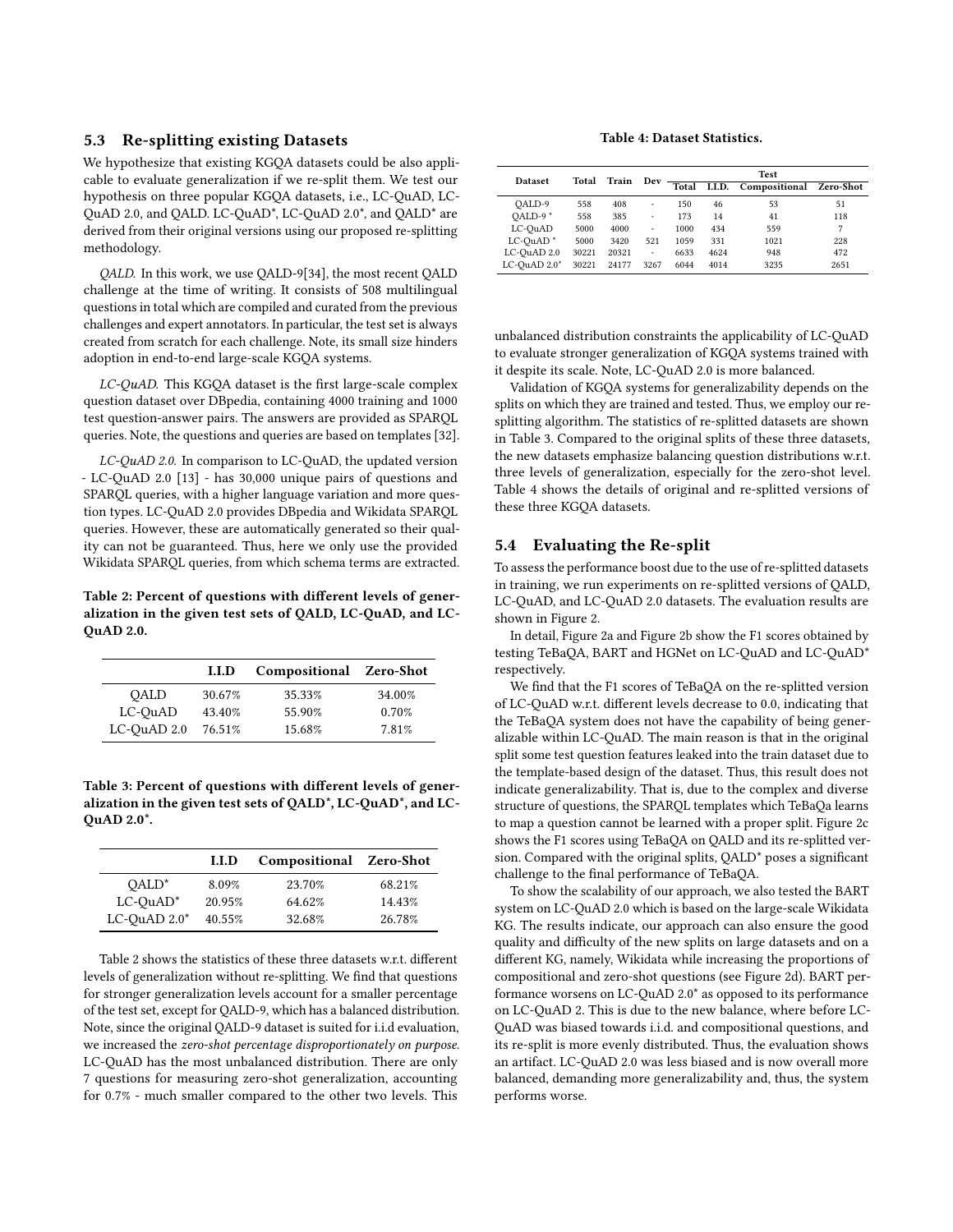## 5.3 Re-splitting existing Datasets

We hypothesize that existing KGQA datasets could be also applicable to evaluate generalization if we re-split them. We test our hypothesis on three popular KGQA datasets, i.e., LC-QuAD, LC-QuAD 2.0, and QALD. LC-QuAD\*, LC-QuAD 2.0\*, and QALD\* are derived from their original versions using our proposed re-splitting methodology.

QALD. In this work, we use QALD-9[\[34\]](#page-8-2), the most recent QALD challenge at the time of writing. It consists of 508 multilingual questions in total which are compiled and curated from the previous challenges and expert annotators. In particular, the test set is always created from scratch for each challenge. Note, its small size hinders adoption in end-to-end large-scale KGQA systems.

LC-QuAD. This KGQA dataset is the first large-scale complex question dataset over DBpedia, containing 4000 training and 1000 test question-answer pairs. The answers are provided as SPARQL queries. Note, the questions and queries are based on templates [\[32\]](#page-7-5).

LC-QuAD 2.0. In comparison to LC-QuAD, the updated version - LC-QuAD 2.0 [\[13\]](#page-7-19) - has 30,000 unique pairs of questions and SPARQL queries, with a higher language variation and more question types. LC-QuAD 2.0 provides DBpedia and Wikidata SPARQL queries. However, these are automatically generated so their quality can not be guaranteed. Thus, here we only use the provided Wikidata SPARQL queries, from which schema terms are extracted.

<span id="page-5-0"></span>Table 2: Percent of questions with different levels of generalization in the given test sets of QALD, LC-QuAD, and LC-QuAD 2.0.

|                  | I.I.D  | Compositional Zero-Shot |        |
|------------------|--------|-------------------------|--------|
| OALD             | 30.67% | 35.33%                  | 34.00% |
| LC-QuAD          | 43.40% | 55.90%                  | 0.70%  |
| $LC$ -QuAD $2.0$ | 76.51% | 15.68%                  | 7.81%  |

<span id="page-5-1"></span>Table 3: Percent of questions with different levels of generalization in the given test sets of QALD\*, LC-QuAD\*, and LC-QuAD 2.0\*.

|                    | I.I.D  | Compositional Zero-Shot |        |
|--------------------|--------|-------------------------|--------|
| $OALD^*$           | 8.09%  | 23.70%                  | 68.21% |
| $LC$ -Ou $AD^*$    | 20.95% | 64.62%                  | 14.43% |
| $LC$ -OuAD $2.0^*$ | 40.55% | 32.68%                  | 26.78% |

Table [2](#page-5-0) shows the statistics of these three datasets w.r.t. different levels of generalization without re-splitting. We find that questions for stronger generalization levels account for a smaller percentage of the test set, except for QALD-9, which has a balanced distribution. Note, since the original QALD-9 dataset is suited for i.i.d evaluation, we increased the zero-shot percentage disproportionately on purpose. LC-QuAD has the most unbalanced distribution. There are only 7 questions for measuring zero-shot generalization, accounting for 0.7% - much smaller compared to the other two levels. This

Table 4: Dataset Statistics.

<span id="page-5-2"></span>

| <b>Dataset</b>       | Total | Train | Dev  |       |        | <b>Test</b>             |      |
|----------------------|-------|-------|------|-------|--------|-------------------------|------|
|                      |       |       |      | Total | I.I.D. | Compositional Zero-Shot |      |
| OALD-9               | 558   | 408   | ÷,   | 150   | 46     | 53                      | 51   |
| OALD-9*              | 558   | 385   | ÷,   | 173   | 14     | 41                      | 118  |
| LC-OuAD              | 5000  | 4000  | ÷.   | 1000  | 434    | 559                     | 7    |
| LC-OuAD <sup>*</sup> | 5000  | 3420  | 521  | 1059  | 331    | 1021                    | 228  |
| LC-OuAD 2.0          | 30221 | 20321 | ä,   | 6633  | 4624   | 948                     | 472  |
| LC-OuAD 2.0*         | 30221 | 24177 | 3267 | 6044  | 4014   | 3235                    | 2651 |

unbalanced distribution constraints the applicability of LC-QuAD to evaluate stronger generalization of KGQA systems trained with it despite its scale. Note, LC-QuAD 2.0 is more balanced.

Validation of KGQA systems for generalizability depends on the splits on which they are trained and tested. Thus, we employ our resplitting algorithm. The statistics of re-splitted datasets are shown in Table [3.](#page-5-1) Compared to the original splits of these three datasets, the new datasets emphasize balancing question distributions w.r.t. three levels of generalization, especially for the zero-shot level. Table [4](#page-5-2) shows the details of original and re-splitted versions of these three KGQA datasets.

#### 5.4 Evaluating the Re-split

To assess the performance boost due to the use of re-splitted datasets in training, we run experiments on re-splitted versions of QALD, LC-QuAD, and LC-QuAD 2.0 datasets. The evaluation results are shown in Figure [2.](#page-6-6)

In detail, Figure [2a](#page-6-6) and Figure [2b](#page-6-6) show the F1 scores obtained by testing TeBaQA, BART and HGNet on LC-QuAD and LC-QuAD\* respectively.

We find that the F1 scores of TeBaQA on the re-splitted version of LC-QuAD w.r.t. different levels decrease to 0.0, indicating that the TeBaQA system does not have the capability of being generalizable within LC-QuAD. The main reason is that in the original split some test question features leaked into the train dataset due to the template-based design of the dataset. Thus, this result does not indicate generalizability. That is, due to the complex and diverse structure of questions, the SPARQL templates which TeBaQa learns to map a question cannot be learned with a proper split. Figure [2c](#page-6-6) shows the F1 scores using TeBaQA on QALD and its re-splitted version. Compared with the original splits, QALD\* poses a significant challenge to the final performance of TeBaQA.

To show the scalability of our approach, we also tested the BART system on LC-QuAD 2.0 which is based on the large-scale Wikidata KG. The results indicate, our approach can also ensure the good quality and difficulty of the new splits on large datasets and on a different KG, namely, Wikidata while increasing the proportions of compositional and zero-shot questions (see Figure [2d\)](#page-6-6). BART performance worsens on LC-QuAD 2.0\* as opposed to its performance on LC-QuAD 2. This is due to the new balance, where before LC-QuAD was biased towards i.i.d. and compositional questions, and its re-split is more evenly distributed. Thus, the evaluation shows an artifact. LC-QuAD 2.0 was less biased and is now overall more balanced, demanding more generalizability and, thus, the system performs worse.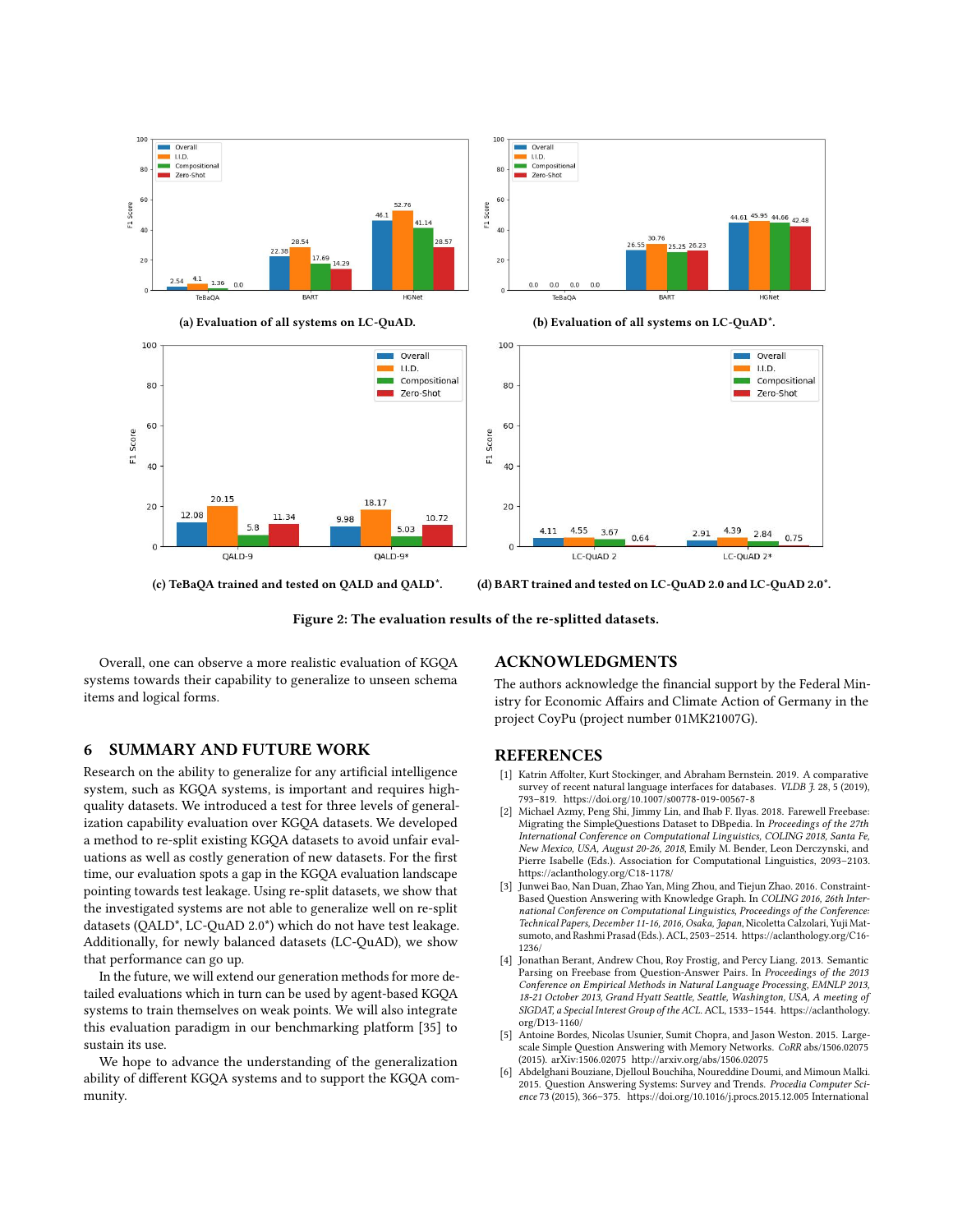<span id="page-6-6"></span>

(c) TeBaQA trained and tested on QALD and QALD\*. (d) BART trained and tested on LC-QuAD 2.0 and LC-QuAD 2.0\*.

Figure 2: The evaluation results of the re-splitted datasets.

Overall, one can observe a more realistic evaluation of KGQA systems towards their capability to generalize to unseen schema items and logical forms.

# 6 SUMMARY AND FUTURE WORK

Research on the ability to generalize for any artificial intelligence system, such as KGQA systems, is important and requires highquality datasets. We introduced a test for three levels of generalization capability evaluation over KGQA datasets. We developed a method to re-split existing KGQA datasets to avoid unfair evaluations as well as costly generation of new datasets. For the first time, our evaluation spots a gap in the KGQA evaluation landscape pointing towards test leakage. Using re-split datasets, we show that the investigated systems are not able to generalize well on re-split datasets (QALD\*, LC-QuAD 2.0\*) which do not have test leakage. Additionally, for newly balanced datasets (LC-QuAD), we show that performance can go up.

In the future, we will extend our generation methods for more detailed evaluations which in turn can be used by agent-based KGQA systems to train themselves on weak points. We will also integrate this evaluation paradigm in our benchmarking platform [\[35\]](#page-8-10) to sustain its use.

We hope to advance the understanding of the generalization ability of different KGQA systems and to support the KGQA community.

## ACKNOWLEDGMENTS

The authors acknowledge the financial support by the Federal Ministry for Economic Affairs and Climate Action of Germany in the project CoyPu (project number 01MK21007G).

## REFERENCES

- <span id="page-6-2"></span>[1] Katrin Affolter, Kurt Stockinger, and Abraham Bernstein. 2019. A comparative survey of recent natural language interfaces for databases. VLDB J. 28, 5 (2019), 793–819.<https://doi.org/10.1007/s00778-019-00567-8>
- <span id="page-6-5"></span>Michael Azmy, Peng Shi, Jimmy Lin, and Ihab F. Ilyas. 2018. Farewell Freebase: Migrating the SimpleQuestions Dataset to DBpedia. In Proceedings of the 27th International Conference on Computational Linguistics, COLING 2018, Santa Fe, New Mexico, USA, August 20-26, 2018, Emily M. Bender, Leon Derczynski, and Pierre Isabelle (Eds.). Association for Computational Linguistics, 2093–2103. <https://aclanthology.org/C18-1178/>
- <span id="page-6-4"></span>[3] Junwei Bao, Nan Duan, Zhao Yan, Ming Zhou, and Tiejun Zhao. 2016. Constraint-Based Question Answering with Knowledge Graph. In COLING 2016, 26th International Conference on Computational Linguistics, Proceedings of the Conference: Technical Papers, December 11-16, 2016, Osaka, Japan, Nicoletta Calzolari, Yuji Matsumoto, and Rashmi Prasad (Eds.). ACL, 2503–2514. [https://aclanthology.org/C16-](https://aclanthology.org/C16-1236/) [1236/](https://aclanthology.org/C16-1236/)
- <span id="page-6-0"></span>[4] Jonathan Berant, Andrew Chou, Roy Frostig, and Percy Liang. 2013. Semantic Parsing on Freebase from Question-Answer Pairs. In Proceedings of the 2013 Conference on Empirical Methods in Natural Language Processing, EMNLP 2013, 18-21 October 2013, Grand Hyatt Seattle, Seattle, Washington, USA, A meeting of SIGDAT, a Special Interest Group of the ACL. ACL, 1533–1544. [https://aclanthology.](https://aclanthology.org/D13-1160/) [org/D13-1160/](https://aclanthology.org/D13-1160/)
- <span id="page-6-3"></span>[5] Antoine Bordes, Nicolas Usunier, Sumit Chopra, and Jason Weston. 2015. Largescale Simple Question Answering with Memory Networks. CoRR abs/1506.02075 (2015). arXiv[:1506.02075](https://arxiv.org/abs/1506.02075)<http://arxiv.org/abs/1506.02075>
- <span id="page-6-1"></span>[6] Abdelghani Bouziane, Djelloul Bouchiha, Noureddine Doumi, and Mimoun Malki. 2015. Question Answering Systems: Survey and Trends. Procedia Computer Science 73 (2015), 366–375.<https://doi.org/10.1016/j.procs.2015.12.005> International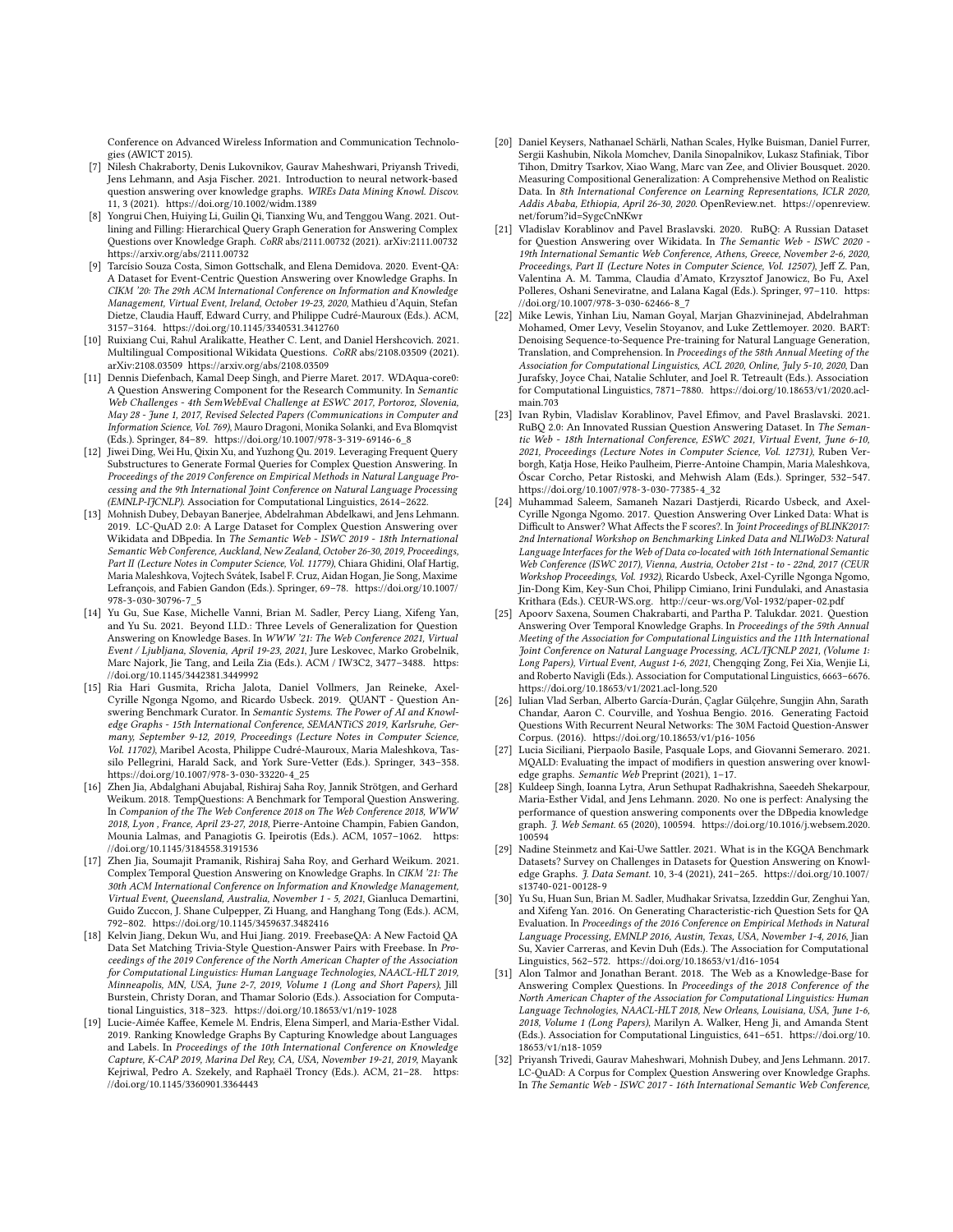Conference on Advanced Wireless Information and Communication Technologies (AWICT 2015).

- <span id="page-7-2"></span>[7] Nilesh Chakraborty, Denis Lukovnikov, Gaurav Maheshwari, Priyansh Trivedi, Jens Lehmann, and Asja Fischer. 2021. Introduction to neural network-based question answering over knowledge graphs. WIREs Data Mining Knowl. Discov. 11, 3 (2021).<https://doi.org/10.1002/widm.1389>
- <span id="page-7-4"></span>[8] Yongrui Chen, Huiying Li, Guilin Qi, Tianxing Wu, and Tenggou Wang. 2021. Outlining and Filling: Hierarchical Query Graph Generation for Answering Complex Questions over Knowledge Graph. CoRR abs/2111.00732 (2021). arXiv[:2111.00732](https://arxiv.org/abs/2111.00732) <https://arxiv.org/abs/2111.00732>
- <span id="page-7-22"></span>[9] Tarcísio Souza Costa, Simon Gottschalk, and Elena Demidova. 2020. Event-QA: A Dataset for Event-Centric Question Answering over Knowledge Graphs. In CIKM '20: The 29th ACM International Conference on Information and Knowledge Management, Virtual Event, Ireland, October 19-23, 2020, Mathieu d'Aquin, Stefan Dietze, Claudia Hauff, Edward Curry, and Philippe Cudré-Mauroux (Eds.). ACM, 3157–3164.<https://doi.org/10.1145/3340531.3412760>
- <span id="page-7-24"></span>[10] Ruixiang Cui, Rahul Aralikatte, Heather C. Lent, and Daniel Hershcovich. 2021. Multilingual Compositional Wikidata Questions. CoRR abs/2108.03509 (2021). arXiv[:2108.03509 https://arxiv.org/abs/2108.03509](https://arxiv.org/abs/2108.03509)
- <span id="page-7-16"></span>[11] Dennis Diefenbach, Kamal Deep Singh, and Pierre Maret. 2017. WDAqua-core0: A Question Answering Component for the Research Community. In Semantic Web Challenges - 4th SemWebEval Challenge at ESWC 2017, Portoroz, Slovenia, May 28 - June 1, 2017, Revised Selected Papers (Communications in Computer and Information Science, Vol. 769), Mauro Dragoni, Monika Solanki, and Eva Blomqvist (Eds.). Springer, 84–89. [https://doi.org/10.1007/978-3-319-69146-6\\_8](https://doi.org/10.1007/978-3-319-69146-6_8)
- <span id="page-7-13"></span>[12] Jiwei Ding, Wei Hu, Qixin Xu, and Yuzhong Qu. 2019. Leveraging Frequent Query Substructures to Generate Formal Queries for Complex Question Answering. In Proceedings of the 2019 Conference on Empirical Methods in Natural Language Processing and the 9th International Joint Conference on Natural Language Processing (EMNLP-IJCNLP). Association for Computational Linguistics, 2614–2622.
- <span id="page-7-19"></span>[13] Mohnish Dubey, Debayan Banerjee, Abdelrahman Abdelkawi, and Jens Lehmann. 2019. LC-QuAD 2.0: A Large Dataset for Complex Question Answering over Wikidata and DBpedia. In The Semantic Web - ISWC 2019 - 18th International Semantic Web Conference, Auckland, New Zealand, October 26-30, 2019, Proceedings, Part II (Lecture Notes in Computer Science, Vol. 11779), Chiara Ghidini, Olaf Hartig, Maria Maleshkova, Vojtech Svátek, Isabel F. Cruz, Aidan Hogan, Jie Song, Maxime Lefrançois, and Fabien Gandon (Eds.). Springer, 69–78. [https://doi.org/10.1007/](https://doi.org/10.1007/978-3-030-30796-7_5) [978-3-030-30796-7\\_5](https://doi.org/10.1007/978-3-030-30796-7_5)
- <span id="page-7-0"></span>[14] Yu Gu, Sue Kase, Michelle Vanni, Brian M. Sadler, Percy Liang, Xifeng Yan, and Yu Su. 2021. Beyond I.I.D.: Three Levels of Generalization for Question Answering on Knowledge Bases. In WWW '21: The Web Conference 2021, Virtual Event / Ljubljana, Slovenia, April 19-23, 2021, Jure Leskovec, Marko Grobelnik, Marc Najork, Jie Tang, and Leila Zia (Eds.). ACM / IW3C2, 3477–3488. [https:](https://doi.org/10.1145/3442381.3449992) [//doi.org/10.1145/3442381.3449992](https://doi.org/10.1145/3442381.3449992)
- <span id="page-7-1"></span>[15] Ria Hari Gusmita, Rricha Jalota, Daniel Vollmers, Jan Reineke, Axel-Cyrille Ngonga Ngomo, and Ricardo Usbeck. 2019. QUANT - Question Answering Benchmark Curator. In Semantic Systems. The Power of AI and Knowledge Graphs - 15th International Conference, SEMANTiCS 2019, Karlsruhe, Germany, September 9-12, 2019, Proceedings (Lecture Notes in Computer Science, Vol. 11702), Maribel Acosta, Philippe Cudré-Mauroux, Maria Maleshkova, Tassilo Pellegrini, Harald Sack, and York Sure-Vetter (Eds.). Springer, 343–358. [https://doi.org/10.1007/978-3-030-33220-4\\_25](https://doi.org/10.1007/978-3-030-33220-4_25)
- <span id="page-7-18"></span>[16] Zhen Jia, Abdalghani Abujabal, Rishiraj Saha Roy, Jannik Strötgen, and Gerhard Weikum. 2018. TempQuestions: A Benchmark for Temporal Question Answering. In Companion of the The Web Conference 2018 on The Web Conference 2018, WWW 2018, Lyon , France, April 23-27, 2018, Pierre-Antoine Champin, Fabien Gandon, Mounia Lalmas, and Panagiotis G. Ipeirotis (Eds.). ACM, 1057–1062. [https:](https://doi.org/10.1145/3184558.3191536) [//doi.org/10.1145/3184558.3191536](https://doi.org/10.1145/3184558.3191536)
- <span id="page-7-25"></span>[17] Zhen Jia, Soumajit Pramanik, Rishiraj Saha Roy, and Gerhard Weikum. 2021. Complex Temporal Question Answering on Knowledge Graphs. In CIKM '21: The 30th ACM International Conference on Information and Knowledge Management, Virtual Event, Queensland, Australia, November 1 - 5, 2021, Gianluca Demartini, Guido Zuccon, J. Shane Culpepper, Zi Huang, and Hanghang Tong (Eds.). ACM, 792–802.<https://doi.org/10.1145/3459637.3482416>
- <span id="page-7-20"></span>[18] Kelvin Jiang, Dekun Wu, and Hui Jiang. 2019. FreebaseQA: A New Factoid QA Data Set Matching Trivia-Style Question-Answer Pairs with Freebase. In Proceedings of the 2019 Conference of the North American Chapter of the Association for Computational Linguistics: Human Language Technologies, NAACL-HLT 2019, Minneapolis, MN, USA, June 2-7, 2019, Volume 1 (Long and Short Papers), Jill Burstein, Christy Doran, and Thamar Solorio (Eds.). Association for Computational Linguistics, 318–323.<https://doi.org/10.18653/v1/n19-1028>
- <span id="page-7-11"></span>[19] Lucie-Aimée Kaffee, Kemele M. Endris, Elena Simperl, and Maria-Esther Vidal. 2019. Ranking Knowledge Graphs By Capturing Knowledge about Languages and Labels. In Proceedings of the 10th International Conference on Knowledge Capture, K-CAP 2019, Marina Del Rey, CA, USA, November 19-21, 2019, Mayank Kejriwal, Pedro A. Szekely, and Raphaël Troncy (Eds.). ACM, 21–28. [https:](https://doi.org/10.1145/3360901.3364443) [//doi.org/10.1145/3360901.3364443](https://doi.org/10.1145/3360901.3364443)
- <span id="page-7-21"></span>[20] Daniel Keysers, Nathanael Schärli, Nathan Scales, Hylke Buisman, Daniel Furrer, Sergii Kashubin, Nikola Momchev, Danila Sinopalnikov, Lukasz Stafiniak, Tibor Tihon, Dmitry Tsarkov, Xiao Wang, Marc van Zee, and Olivier Bousquet. 2020. Measuring Compositional Generalization: A Comprehensive Method on Realistic Data. In 8th International Conference on Learning Representations, ICLR 2020, Addis Ababa, Ethiopia, April 26-30, 2020. OpenReview.net. [https://openreview.](https://openreview.net/forum?id=SygcCnNKwr) [net/forum?id=SygcCnNKwr](https://openreview.net/forum?id=SygcCnNKwr)
- <span id="page-7-6"></span>[21] Vladislav Korablinov and Pavel Braslavski. 2020. RuBQ: A Russian Dataset for Question Answering over Wikidata. In The Semantic Web - ISWC 2020 - 19th International Semantic Web Conference, Athens, Greece, November 2-6, 2020, Proceedings, Part II (Lecture Notes in Computer Science, Vol. 12507), Jeff Z. Pan, Valentina A. M. Tamma, Claudia d'Amato, Krzysztof Janowicz, Bo Fu, Axel Polleres, Oshani Seneviratne, and Lalana Kagal (Eds.). Springer, 97–110. [https:](https://doi.org/10.1007/978-3-030-62466-8_7) [//doi.org/10.1007/978-3-030-62466-8\\_7](https://doi.org/10.1007/978-3-030-62466-8_7)
- <span id="page-7-3"></span>[22] Mike Lewis, Yinhan Liu, Naman Goyal, Marjan Ghazvininejad, Abdelrahman Mohamed, Omer Levy, Veselin Stoyanov, and Luke Zettlemoyer. 2020. BART: Denoising Sequence-to-Sequence Pre-training for Natural Language Generation, Translation, and Comprehension. In Proceedings of the 58th Annual Meeting of the Association for Computational Linguistics, ACL 2020, Online, July 5-10, 2020, Dan Jurafsky, Joyce Chai, Natalie Schluter, and Joel R. Tetreault (Eds.). Association for Computational Linguistics, 7871–7880. [https://doi.org/10.18653/v1/2020.acl](https://doi.org/10.18653/v1/2020.acl-main.703)[main.703](https://doi.org/10.18653/v1/2020.acl-main.703)
- <span id="page-7-23"></span>[23] Ivan Rybin, Vladislav Korablinov, Pavel Efimov, and Pavel Braslavski. 2021. RuBQ 2.0: An Innovated Russian Question Answering Dataset. In The Semantic Web - 18th International Conference, ESWC 2021, Virtual Event, June 6-10, 2021, Proceedings (Lecture Notes in Computer Science, Vol. 12731), Ruben Verborgh, Katja Hose, Heiko Paulheim, Pierre-Antoine Champin, Maria Maleshkova, Óscar Corcho, Petar Ristoski, and Mehwish Alam (Eds.). Springer, 532–547. [https://doi.org/10.1007/978-3-030-77385-4\\_32](https://doi.org/10.1007/978-3-030-77385-4_32)
- <span id="page-7-8"></span>[24] Muhammad Saleem, Samaneh Nazari Dastjerdi, Ricardo Usbeck, and Axel-Cyrille Ngonga Ngomo. 2017. Question Answering Over Linked Data: What is Difficult to Answer? What Affects the F scores?. In Joint Proceedings of BLINK2017: 2nd International Workshop on Benchmarking Linked Data and NLIWoD3: Natural Language Interfaces for the Web of Data co-located with 16th International Semantic Web Conference (ISWC 2017), Vienna, Austria, October 21st - to - 22nd, 2017 (CEUR Workshop Proceedings, Vol. 1932), Ricardo Usbeck, Axel-Cyrille Ngonga Ngomo, Jin-Dong Kim, Key-Sun Choi, Philipp Cimiano, Irini Fundulaki, and Anastasia Krithara (Eds.). CEUR-WS.org.<http://ceur-ws.org/Vol-1932/paper-02.pdf>
- <span id="page-7-7"></span>[25] Apoorv Saxena, Soumen Chakrabarti, and Partha P. Talukdar. 2021. Question Answering Over Temporal Knowledge Graphs. In Proceedings of the 59th Annual Meeting of the Association for Computational Linguistics and the 11th International Joint Conference on Natural Language Processing, ACL/IJCNLP 2021, (Volume 1: Long Papers), Virtual Event, August 1-6, 2021, Chengqing Zong, Fei Xia, Wenjie Li, and Roberto Navigli (Eds.). Association for Computational Linguistics, 6663–6676. <https://doi.org/10.18653/v1/2021.acl-long.520>
- <span id="page-7-15"></span>[26] Iulian Vlad Serban, Alberto García-Durán, Çaglar Gülçehre, Sungjin Ahn, Sarath Chandar, Aaron C. Courville, and Yoshua Bengio. 2016. Generating Factoid Questions With Recurrent Neural Networks: The 30M Factoid Question-Answer Corpus. (2016).<https://doi.org/10.18653/v1/p16-1056>
- <span id="page-7-10"></span>[27] Lucia Siciliani, Pierpaolo Basile, Pasquale Lops, and Giovanni Semeraro. 2021. MQALD: Evaluating the impact of modifiers in question answering over knowledge graphs. Semantic Web Preprint (2021), 1–17.
- <span id="page-7-12"></span>[28] Kuldeep Singh, Ioanna Lytra, Arun Sethupat Radhakrishna, Saeedeh Shekarpour, Maria-Esther Vidal, and Jens Lehmann. 2020. No one is perfect: Analysing the performance of question answering components over the DBpedia knowledge graph. J. Web Semant. 65 (2020), 100594. [https://doi.org/10.1016/j.websem.2020.](https://doi.org/10.1016/j.websem.2020.100594) [100594](https://doi.org/10.1016/j.websem.2020.100594)
- <span id="page-7-9"></span>[29] Nadine Steinmetz and Kai-Uwe Sattler. 2021. What is in the KGQA Benchmark Datasets? Survey on Challenges in Datasets for Question Answering on Knowledge Graphs. J. Data Semant. 10, 3-4 (2021), 241–265. [https://doi.org/10.1007/](https://doi.org/10.1007/s13740-021-00128-9) [s13740-021-00128-9](https://doi.org/10.1007/s13740-021-00128-9)
- <span id="page-7-14"></span>[30] Yu Su, Huan Sun, Brian M. Sadler, Mudhakar Srivatsa, Izzeddin Gur, Zenghui Yan, and Xifeng Yan. 2016. On Generating Characteristic-rich Question Sets for QA Evaluation. In Proceedings of the 2016 Conference on Empirical Methods in Natural Language Processing, EMNLP 2016, Austin, Texas, USA, November 1-4, 2016, Jian Su, Xavier Carreras, and Kevin Duh (Eds.). The Association for Computational Linguistics, 562–572.<https://doi.org/10.18653/v1/d16-1054>
- <span id="page-7-17"></span>[31] Alon Talmor and Jonathan Berant. 2018. The Web as a Knowledge-Base for Answering Complex Questions. In Proceedings of the 2018 Conference of the North American Chapter of the Association for Computational Linguistics: Human Language Technologies, NAACL-HLT 2018, New Orleans, Louisiana, USA, June 1-6, 2018, Volume 1 (Long Papers), Marilyn A. Walker, Heng Ji, and Amanda Stent (Eds.). Association for Computational Linguistics, 641–651. [https://doi.org/10.](https://doi.org/10.18653/v1/n18-1059) [18653/v1/n18-1059](https://doi.org/10.18653/v1/n18-1059)
- <span id="page-7-5"></span>[32] Priyansh Trivedi, Gaurav Maheshwari, Mohnish Dubey, and Jens Lehmann. 2017. LC-QuAD: A Corpus for Complex Question Answering over Knowledge Graphs. In The Semantic Web - ISWC 2017 - 16th International Semantic Web Conference,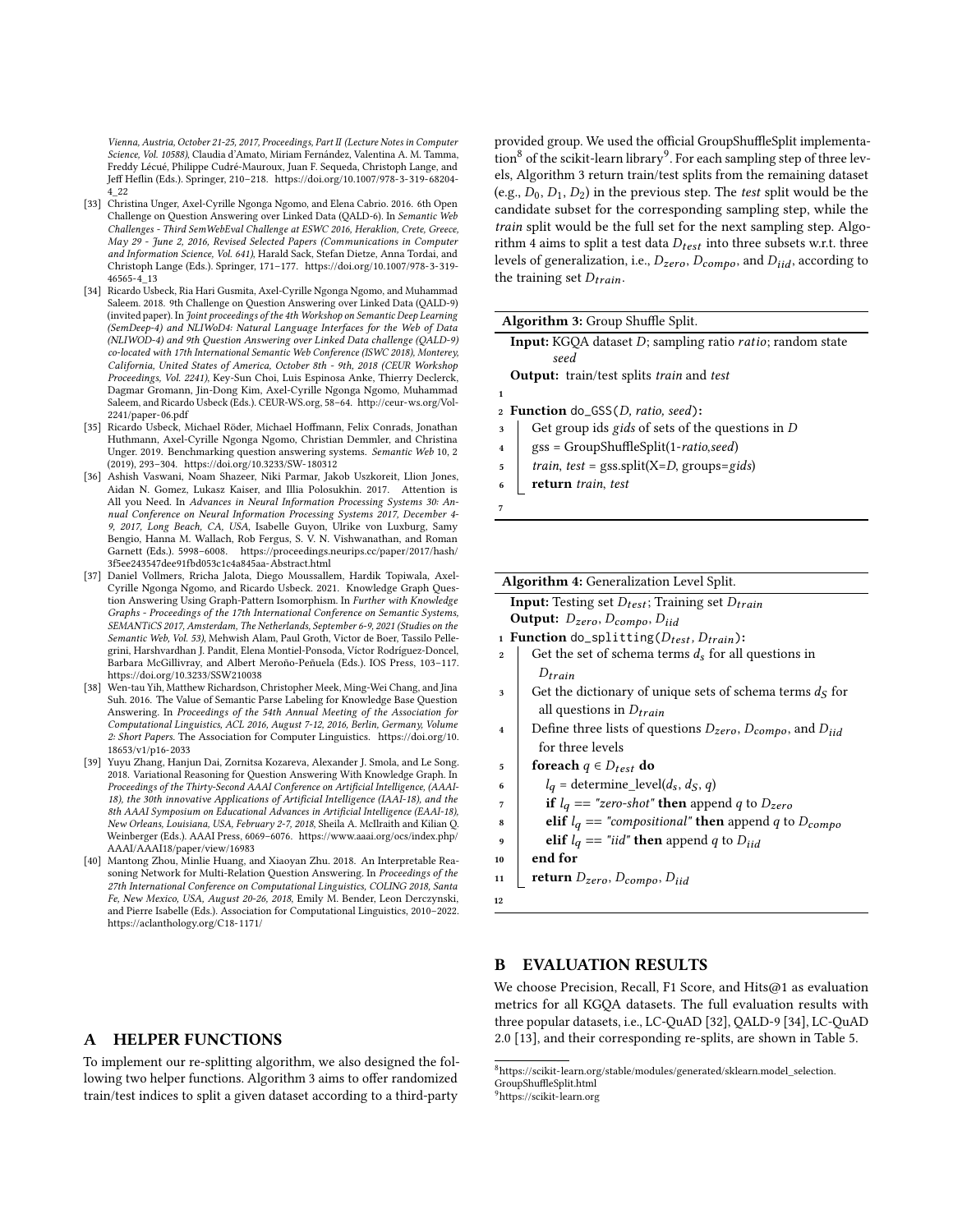Vienna, Austria, October 21-25, 2017, Proceedings, Part II (Lecture Notes in Computer Science, Vol. 10588), Claudia d'Amato, Miriam Fernández, Valentina A. M. Tamma, Freddy Lécué, Philippe Cudré-Mauroux, Juan F. Sequeda, Christoph Lange, and Jeff Heflin (Eds.). Springer, 210–218. [https://doi.org/10.1007/978-3-319-68204-](https://doi.org/10.1007/978-3-319-68204-4_22) [4\\_22](https://doi.org/10.1007/978-3-319-68204-4_22)

- <span id="page-8-3"></span>[33] Christina Unger, Axel-Cyrille Ngonga Ngomo, and Elena Cabrio. 2016. 6th Open Challenge on Question Answering over Linked Data (QALD-6). In Semantic Web Challenges - Third SemWebEval Challenge at ESWC 2016, Heraklion, Crete, Greece, May 29 - June 2, 2016, Revised Selected Papers (Communications in Computer and Information Science, Vol. 641), Harald Sack, Stefan Dietze, Anna Tordai, and Christoph Lange (Eds.). Springer, 171–177. [https://doi.org/10.1007/978-3-319-](https://doi.org/10.1007/978-3-319-46565-4_13) [46565-4\\_13](https://doi.org/10.1007/978-3-319-46565-4_13)
- <span id="page-8-2"></span>[34] Ricardo Usbeck, Ria Hari Gusmita, Axel-Cyrille Ngonga Ngomo, and Muhammad Saleem. 2018. 9th Challenge on Question Answering over Linked Data (QALD-9) (invited paper). In Joint proceedings of the 4th Workshop on Semantic Deep Learning (SemDeep-4) and NLIWoD4: Natural Language Interfaces for the Web of Data (NLIWOD-4) and 9th Question Answering over Linked Data challenge (QALD-9) co-located with 17th International Semantic Web Conference (ISWC 2018), Monterey, California, United States of America, October 8th - 9th, 2018 (CEUR Workshop Proceedings, Vol. 2241), Key-Sun Choi, Luis Espinosa Anke, Thierry Declerck, Dagmar Gromann, Jin-Dong Kim, Axel-Cyrille Ngonga Ngomo, Muhammad Saleem, and Ricardo Usbeck (Eds.). CEUR-WS.org, 58–64. [http://ceur-ws.org/Vol-](http://ceur-ws.org/Vol-2241/paper-06.pdf)[2241/paper-06.pdf](http://ceur-ws.org/Vol-2241/paper-06.pdf)
- <span id="page-8-10"></span>[35] Ricardo Usbeck, Michael Röder, Michael Hoffmann, Felix Conrads, Jonathan Huthmann, Axel-Cyrille Ngonga Ngomo, Christian Demmler, and Christina Unger. 2019. Benchmarking question answering systems. Semantic Web 10, 2 (2019), 293–304.<https://doi.org/10.3233/SW-180312>
- <span id="page-8-0"></span>[36] Ashish Vaswani, Noam Shazeer, Niki Parmar, Jakob Uszkoreit, Llion Jones, Aidan N. Gomez, Lukasz Kaiser, and Illia Polosukhin. 2017. Attention is All you Need. In Advances in Neural Information Processing Systems 30: Annual Conference on Neural Information Processing Systems 2017, December 4- 9, 2017, Long Beach, CA, USA, Isabelle Guyon, Ulrike von Luxburg, Samy Bengio, Hanna M. Wallach, Rob Fergus, S. V. N. Vishwanathan, and Roman Garnett (Eds.). 5998–6008. [https://proceedings.neurips.cc/paper/2017/hash/](https://proceedings.neurips.cc/paper/2017/hash/3f5ee243547dee91fbd053c1c4a845aa-Abstract.html) [3f5ee243547dee91fbd053c1c4a845aa-Abstract.html](https://proceedings.neurips.cc/paper/2017/hash/3f5ee243547dee91fbd053c1c4a845aa-Abstract.html)
- <span id="page-8-1"></span>[37] Daniel Vollmers, Rricha Jalota, Diego Moussallem, Hardik Topiwala, Axel-Cyrille Ngonga Ngomo, and Ricardo Usbeck. 2021. Knowledge Graph Question Answering Using Graph-Pattern Isomorphism. In Further with Knowledge Graphs - Proceedings of the 17th International Conference on Semantic Systems, SEMANTiCS 2017, Amsterdam, The Netherlands, September 6-9, 2021 (Studies on the Semantic Web, Vol. 53), Mehwish Alam, Paul Groth, Victor de Boer, Tassilo Pellegrini, Harshvardhan J. Pandit, Elena Montiel-Ponsoda, Víctor Rodríguez-Doncel, Barbara McGillivray, and Albert Meroño-Peñuela (Eds.). IOS Press, 103–117. <https://doi.org/10.3233/SSW210038>
- <span id="page-8-7"></span>[38] Wen-tau Yih, Matthew Richardson, Christopher Meek, Ming-Wei Chang, and Jina Suh. 2016. The Value of Semantic Parse Labeling for Knowledge Base Question Answering. In Proceedings of the 54th Annual Meeting of the Association for Computational Linguistics, ACL 2016, August 7-12, 2016, Berlin, Germany, Volume 2: Short Papers. The Association for Computer Linguistics. [https://doi.org/10.](https://doi.org/10.18653/v1/p16-2033) [18653/v1/p16-2033](https://doi.org/10.18653/v1/p16-2033)
- <span id="page-8-9"></span>[39] Yuyu Zhang, Hanjun Dai, Zornitsa Kozareva, Alexander J. Smola, and Le Song. 2018. Variational Reasoning for Question Answering With Knowledge Graph. In Proceedings of the Thirty-Second AAAI Conference on Artificial Intelligence, (AAAI-18), the 30th innovative Applications of Artificial Intelligence (IAAI-18), and the 8th AAAI Symposium on Educational Advances in Artificial Intelligence (EAAI-18), New Orleans, Louisiana, USA, February 2-7, 2018, Sheila A. McIlraith and Kilian Q. Weinberger (Eds.). AAAI Press, 6069–6076. [https://www.aaai.org/ocs/index.php/](https://www.aaai.org/ocs/index.php/AAAI/AAAI18/paper/view/16983) [AAAI/AAAI18/paper/view/16983](https://www.aaai.org/ocs/index.php/AAAI/AAAI18/paper/view/16983)
- <span id="page-8-8"></span>[40] Mantong Zhou, Minlie Huang, and Xiaoyan Zhu. 2018. An Interpretable Reasoning Network for Multi-Relation Question Answering. In Proceedings of the 27th International Conference on Computational Linguistics, COLING 2018, Santa Fe, New Mexico, USA, August 20-26, 2018, Emily M. Bender, Leon Derczynski, and Pierre Isabelle (Eds.). Association for Computational Linguistics, 2010–2022. <https://aclanthology.org/C18-1171/>

## <span id="page-8-6"></span>A HELPER FUNCTIONS

To implement our re-splitting algorithm, we also designed the following two helper functions. Algorithm [3](#page-8-4) aims to offer randomized train/test indices to split a given dataset according to a third-party

provided group. We used the official GroupShuffleSplit implementa- $\tan^8$  $\tan^8$  of the scikit-learn library<sup>[9](#page-8-12)</sup>. For each sampling step of three levels, Algorithm [3](#page-8-4) return train/test splits from the remaining dataset (e.g.,  $D_0$ ,  $D_1$ ,  $D_2$ ) in the previous step. The *test* split would be the candidate subset for the corresponding sampling step, while the train split would be the full set for the next sampling step. Algo-rithm [4](#page-8-5) aims to split a test data  $D_{test}$  into three subsets w.r.t. three levels of generalization, i.e.,  $D_{zero}$ ,  $D_{compo}$ , and  $D_{iid}$ , according to the training set  $D_{train}$ .

| <b>Algorithm 3: Group Shuffle Split.</b>                                    |  |  |  |  |  |  |
|-----------------------------------------------------------------------------|--|--|--|--|--|--|
| <b>Input:</b> KGQA dataset $D$ ; sampling ratio <i>ratio</i> ; random state |  |  |  |  |  |  |
| seed                                                                        |  |  |  |  |  |  |
| <b>Output:</b> train/test splits <i>train</i> and <i>test</i>               |  |  |  |  |  |  |
| 1                                                                           |  |  |  |  |  |  |
| 2 <b>Function</b> do_GSS( <i>D</i> , ratio, seed):                          |  |  |  |  |  |  |
| Get group ids gids of sets of the questions in $D$<br>3                     |  |  |  |  |  |  |
| gss = GroupShuffleSplit(1-ratio,seed)<br>$\overline{\mathbf{4}}$            |  |  |  |  |  |  |
| $\frac{1}{2}$ train, test = gss.split(X=D, groups=gids)                     |  |  |  |  |  |  |
| return train, test<br>6                                                     |  |  |  |  |  |  |
| 7                                                                           |  |  |  |  |  |  |
|                                                                             |  |  |  |  |  |  |

<span id="page-8-4"></span>

| Algorithm 4: Generalization Level Split. |  |
|------------------------------------------|--|
|------------------------------------------|--|

| <b>Input:</b> Testing set $D_{test}$ ; Training set $D_{train}$ |  |
|-----------------------------------------------------------------|--|
| <b>Output:</b> $D_{zero}$ , $D_{compo}$ , $D_{iid}$             |  |

```
1 Function do\_splitting(D_{test}, D_{train}):
```
- 2 Get the set of schema terms  $d_s$  for all questions in  $D_{train}$
- $\overline{\mathcal{A}}$  Get the dictionary of unique sets of schema terms  $\mathcal{A}_S$  for all questions in  $D_{train}$
- 4 Define three lists of questions  $D_{zero}$ ,  $D_{como}$ , and  $D_{iid}$ for three levels
- 5 foreach  $q \in D_{test}$  do
- 6  $| \t l_q = \text{determine\_level}(d_s, d_s, q)$
- $7 \mid$  if  $l_q == "zero-shot"$  then append q to  $D_{zero}$
- 8 elif  $l_q = "compositional"$  then append q to  $D_{compo}$
- elif  $l_q == "iid"$  then append q to  $D_{iid}$
- $_{10}$  end for
- 11 **return**  $D_{zero}$ ,  $D_{compo}$ ,  $D_{iid}$
- <span id="page-8-5"></span>12

# B EVALUATION RESULTS

We choose Precision, Recall, F1 Score, and Hits@1 as evaluation metrics for all KGQA datasets. The full evaluation results with three popular datasets, i.e., LC-QuAD [\[32\]](#page-7-5), QALD-9 [\[34\]](#page-8-2), LC-QuAD 2.0 [\[13\]](#page-7-19), and their corresponding re-splits, are shown in Table [5.](#page-9-2)

<span id="page-8-12"></span><span id="page-8-11"></span> $^8$ [https://scikit-learn.org/stable/modules/generated/sklearn.model\\_selection.](https://scikit-learn.org/stable/modules/generated/sklearn.model_selection.GroupShuffleSplit.html) [GroupShuffleSplit.html](https://scikit-learn.org/stable/modules/generated/sklearn.model_selection.GroupShuffleSplit.html) <sup>9</sup><https://scikit-learn.org>